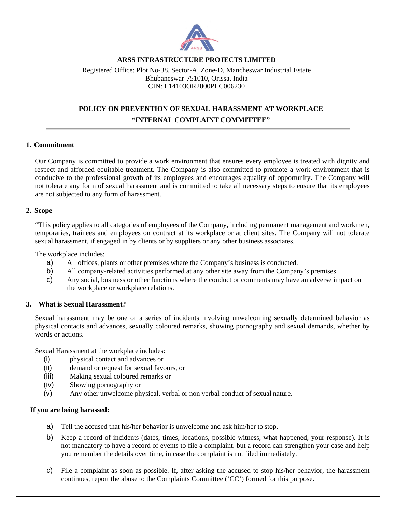

## **ARSS INFRASTRUCTURE PROJECTS LIMITED**

Registered Office: Plot No-38, Sector-A, Zone-D, Mancheswar Industrial Estate Bhubaneswar-751010, Orissa, India CIN: L14103OR2000PLC006230

# **POLICY ON PREVENTION OF SEXUAL HARASSMENT AT WORKPLACE "INTERNAL COMPLAINT COMMITTEE"**

### **1. Commitment**

Our Company is committed to provide a work environment that ensures every employee is treated with dignity and respect and afforded equitable treatment. The Company is also committed to promote a work environment that is conducive to the professional growth of its employees and encourages equality of opportunity. The Company will not tolerate any form of sexual harassment and is committed to take all necessary steps to ensure that its employees are not subjected to any form of harassment.

### **2. Scope**

"This policy applies to all categories of employees of the Company, including permanent management and workmen, temporaries, trainees and employees on contract at its workplace or at client sites. The Company will not tolerate sexual harassment, if engaged in by clients or by suppliers or any other business associates.

The workplace includes:

- a) All offices, plants or other premises where the Company's business is conducted.
- b) All company-related activities performed at any other site away from the Company's premises.
- c) Any social, business or other functions where the conduct or comments may have an adverse impact on the workplace or workplace relations.

### **3. What is Sexual Harassment?**

Sexual harassment may be one or a series of incidents involving unwelcoming sexually determined behavior as physical contacts and advances, sexually coloured remarks, showing pornography and sexual demands, whether by words or actions.

Sexual Harassment at the workplace includes:

- (i) physical contact and advances or
- (ii) demand or request for sexual favours, or
- (iii) Making sexual coloured remarks or
- (iv) Showing pornography or
- (v) Any other unwelcome physical, verbal or non verbal conduct of sexual nature.

### **If you are being harassed:**

- a) Tell the accused that his/her behavior is unwelcome and ask him/her to stop.
- b) Keep a record of incidents (dates, times, locations, possible witness, what happened, your response). It is not mandatory to have a record of events to file a complaint, but a record can strengthen your case and help you remember the details over time, in case the complaint is not filed immediately.
- c) File a complaint as soon as possible. If, after asking the accused to stop his/her behavior, the harassment continues, report the abuse to the Complaints Committee ('CC') formed for this purpose.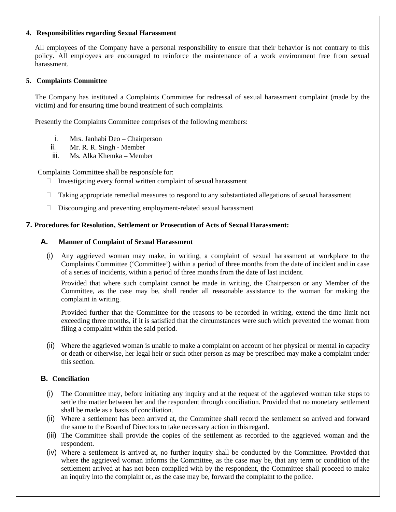### **4. Responsibilities regarding Sexual Harassment**

All employees of the Company have a personal responsibility to ensure that their behavior is not contrary to this policy. All employees are encouraged to reinforce the maintenance of a work environment free from sexual harassment.

## **5. Complaints Committee**

The Company has instituted a Complaints Committee for redressal of sexual harassment complaint (made by the victim) and for ensuring time bound treatment of such complaints.

Presently the Complaints Committee comprises of the following members:

- i. Mrs. Janhabi Deo Chairperson
- ii. Mr. R. R. Singh Member
- iii. Ms. Alka Khemka Member

Complaints Committee shall be responsible for:

- $\Box$  Investigating every formal written complaint of sexual harassment
- $\Box$  Taking appropriate remedial measures to respond to any substantiated allegations of sexual harassment
- $\Box$  Discouraging and preventing employment-related sexual harassment

## **7. Procedures for Resolution, Settlement or Prosecution of Acts of Sexual Harassment:**

## **A. Manner of Complaint of Sexual Harassment**

(i) Any aggrieved woman may make, in writing, a complaint of sexual harassment at workplace to the Complaints Committee ('Committee') within a period of three months from the date of incident and in case of a series of incidents, within a period of three months from the date of last incident.

Provided that where such complaint cannot be made in writing, the Chairperson or any Member of the Committee, as the case may be, shall render all reasonable assistance to the woman for making the complaint in writing.

Provided further that the Committee for the reasons to be recorded in writing, extend the time limit not exceeding three months, if it is satisfied that the circumstances were such which prevented the woman from filing a complaint within the said period.

(ii) Where the aggrieved woman is unable to make a complaint on account of her physical or mental in capacity or death or otherwise, her legal heir or such other person as may be prescribed may make a complaint under this section.

## **B. Conciliation**

- (i) The Committee may, before initiating any inquiry and at the request of the aggrieved woman take steps to settle the matter between her and the respondent through conciliation. Provided that no monetary settlement shall be made as a basis of conciliation.
- (ii) Where a settlement has been arrived at, the Committee shall record the settlement so arrived and forward the same to the Board of Directors to take necessary action in this regard.
- (iii) The Committee shall provide the copies of the settlement as recorded to the aggrieved woman and the respondent.
- (iv) Where a settlement is arrived at, no further inquiry shall be conducted by the Committee. Provided that where the aggrieved woman informs the Committee, as the case may be, that any term or condition of the settlement arrived at has not been complied with by the respondent, the Committee shall proceed to make an inquiry into the complaint or, as the case may be, forward the complaint to the police.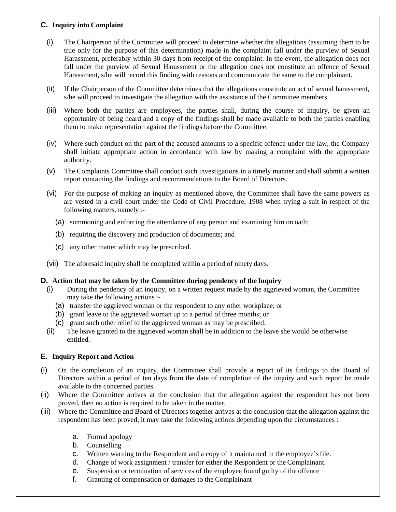## **C. Inquiry into Complaint**

- (i) The Chairperson of the Committee will proceed to determine whether the allegations (assuming them to be true only for the purpose of this determination) made in the complaint fall under the purview of Sexual Harassment, preferably within 30 days from receipt of the complaint. In the event, the allegation does not fall under the purview of Sexual Harassment or the allegation does not constitute an offence of Sexual Harassment, s/he will record this finding with reasons and communicate the same to the complainant.
- (ii) If the Chairperson of the Committee determines that the allegations constitute an act of sexual harassment, s/he will proceed to investigate the allegation with the assistance of the Committee members.
- (iii) Where both the parties are employees, the parties shall, during the course of inquiry, be given an opportunity of being heard and a copy of the findings shall be made available to both the parties enabling them to make representation against the findings before the Committee.
- (iv) Where such conduct on the part of the accused amounts to a specific offence under the law, the Company shall initiate appropriate action in accordance with law by making a complaint with the appropriate authority.
- (v) The Complaints Committee shall conduct such investigations in a timely manner and shall submit a written report containing the findings and recommendations to the Board of Directors.
- (vi) For the purpose of making an inquiry as mentioned above, the Committee shall have the same powers as are vested in a civil court under the Code of Civil Procedure, 1908 when trying a suit in respect of the following matters, namely :-
	- (a) summoning and enforcing the attendance of any person and examining him on oath;
	- (b) requiring the discovery and production of documents; and
	- (c) any other matter which may be prescribed.
- (vii) The aforesaid inquiry shall be completed within a period of ninety days.

## **D. Action that may be taken by the Committee during pendency of the Inquiry**

- (i) During the pendency of an inquiry, on a written request made by the aggrieved woman, the Committee may take the following actions :-
	- (a) transfer the aggrieved woman or the respondent to any other workplace; or
	- (b) grant leave to the aggrieved woman up to a period of three months; or
	- (c) grant such other relief to the aggrieved woman as may be prescribed.
- (ii) The leave granted to the aggrieved woman shall be in addition to the leave she would be otherwise entitled.

## **E. Inquiry Report and Action**

- (i) On the completion of an inquiry, the Committee shall provide a report of its findings to the Board of Directors within a period of ten days from the date of completion of the inquiry and such report be made available to the concerned parties.
- (ii) Where the Committee arrives at the conclusion that the allegation against the respondent has not been proved, then no action is required to be taken in the matter.
- (iii) Where the Committee and Board of Directors together arrives at the conclusion that the allegation against the respondent has been proved, it may take the following actions depending upon the circumstances :
	- a. Formal apology
	- b. Counselling
	- c. Written warning to the Respondent and a copy of it maintained in the employee's file.
	- d. Change of work assignment / transfer for either the Respondent or the Complainant.
	- e. Suspension or termination of services of the employee found guilty of the offence
	- f. Granting of compensation or damages to the Complainant